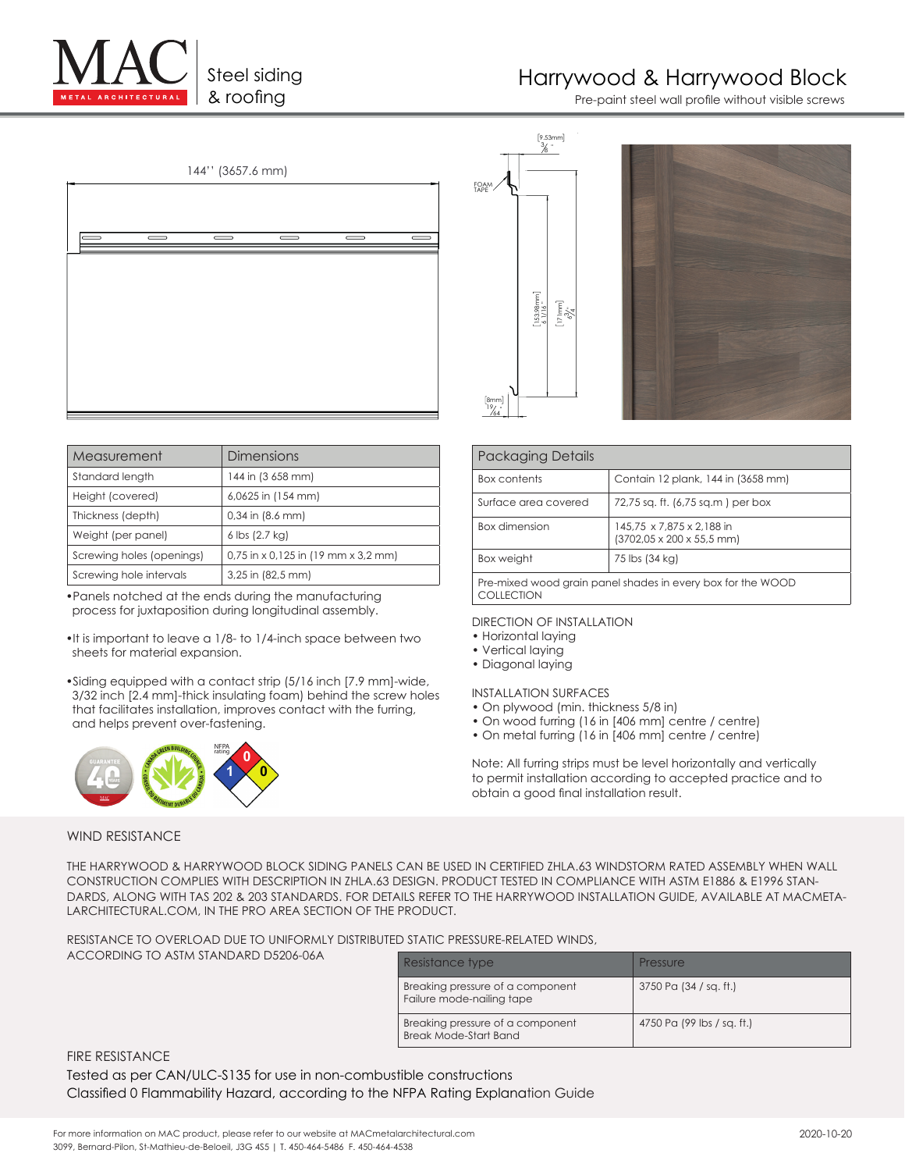Steel siding

# Harrywood & Harrywood Block

& roofing extensive the paint steel wall profile without visible screws



| Measurement               | Dimensions                            |
|---------------------------|---------------------------------------|
| Standard length           | 144 in (3 658 mm)                     |
| Height (covered)          | 6,0625 in (154 mm)                    |
| Thickness (depth)         | $0.34$ in $(8.6$ mm)                  |
| Weight (per panel)        | 6 lbs (2.7 kg)                        |
| Screwing holes (openings) | $0.75$ in x 0.125 in (19 mm x 3.2 mm) |
| Screwing hole intervals   | 3,25 in (82,5 mm)                     |

•Panels notched at the ends during the manufacturing process for juxtaposition during longitudinal assembly.

- •It is important to leave a 1/8- to 1/4-inch space between two sheets for material expansion.
- •Siding equipped with a contact strip (5/16 inch [7.9 mm]-wide, 3/32 inch [2.4 mm]-thick insulating foam) behind the screw holes that facilitates installation, improves contact with the furring, and helps prevent over-fastening.







| <b>Packaging Details</b>                                      |                                                                            |  |  |
|---------------------------------------------------------------|----------------------------------------------------------------------------|--|--|
| <b>Box contents</b>                                           | Contain 12 plank, 144 in (3658 mm)                                         |  |  |
| Surface area covered                                          | 72,75 sq. ft. (6,75 sq.m) per box                                          |  |  |
| <b>Box dimension</b>                                          | 145,75 x 7,875 x 2,188 in<br>$(3702.05 \times 200 \times 55.5 \text{ mm})$ |  |  |
| Box weight                                                    | 75 lbs (34 kg)                                                             |  |  |
| Browniand wood arain papel shooted in over thou for the $WOD$ |                                                                            |  |  |

Pre-mixed wood grain panel shades in every box for the WOOD COLLECTION

#### DIRECTION OF INSTALLATION

- Horizontal laying
- Vertical laying
- Diagonal laying

INSTALLATION SURFACES

- On plywood (min. thickness 5/8 in)
- On wood furring (16 in [406 mm] centre / centre)
- On metal furring (16 in [406 mm] centre / centre)

Note: All furring strips must be level horizontally and vertically to permit installation according to accepted practice and to obtain a good final installation result.

### WIND RESISTANCE

THE HARRYWOOD & HARRYWOOD BLOCK SIDING PANELS CAN BE USED IN CERTIFIED ZHLA.63 WINDSTORM RATED ASSEMBLY WHEN WALL CONSTRUCTION COMPLIES WITH DESCRIPTION IN ZHLA.63 DESIGN. PRODUCT TESTED IN COMPLIANCE WITH ASTM E1886 & E1996 STAN-DARDS, ALONG WITH TAS 202 & 203 STANDARDS. FOR DETAILS REFER TO THE HARRYWOOD INSTALLATION GUIDE, AVAILABLE AT MACMETA-LARCHITECTURAL.COM, IN THE PRO AREA SECTION OF THE PRODUCT.

RESISTANCE TO OVERLOAD DUE TO UNIFORMLY DISTRIBUTED STATIC PRESSURE-RELATED WINDS,

ACCORDING TO ASTM STANDARD D5206-06A

| Resistance type                                               | Pressure                   |
|---------------------------------------------------------------|----------------------------|
| Breaking pressure of a component<br>Failure mode-nailing tape | 3750 Pa (34 / sg. ft.)     |
| Breaking pressure of a component<br>Break Mode-Start Band     | 4750 Pa (99 lbs / sq. ft.) |

FIRE RESISTANCE

Tested as per CAN/ULC-S135 for use in non-combustible constructions Classified 0 Flammability Hazard, according to the NFPA Rating Explanation Guide